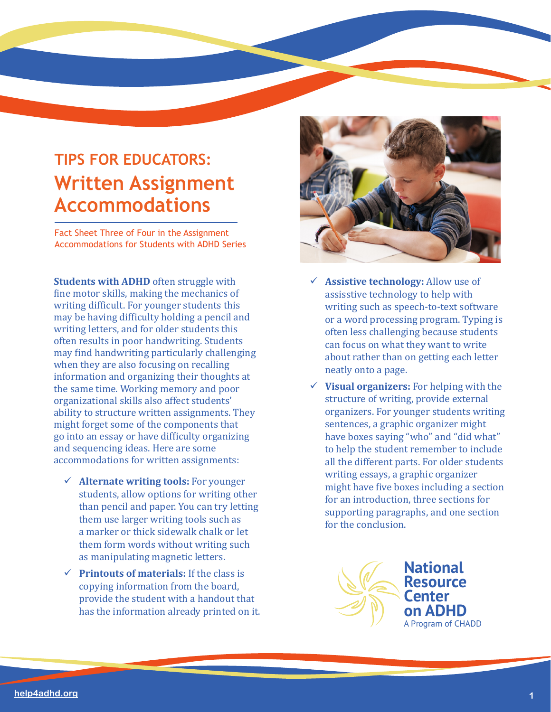## **TIPS FOR EDUCATORS: Written Assignment Accommodations**

Fact Sheet Three of Four in the Assignment Accommodations for Students with ADHD Series

**Students with ADHD** often struggle with fine motor skills, making the mechanics of writing difficult. For younger students this may be having difficulty holding a pencil and writing letters, and for older students this often results in poor handwriting. Students may find handwriting particularly challenging when they are also focusing on recalling information and organizing their thoughts at the same time. Working memory and poor organizational skills also affect students' ability to structure written assignments. They might forget some of the components that go into an essay or have difficulty organizing and sequencing ideas. Here are some accommodations for written assignments:

- **Alternate writing tools:** For younger students, allow options for writing other than pencil and paper. You can try letting them use larger writing tools such as a marker or thick sidewalk chalk or let them form words without writing such as manipulating magnetic letters.
- **Printouts of materials:** If the class is copying information from the board, provide the student with a handout that has the information already printed on it.



- **Assistive technology:** Allow use of assisstive technology to help with writing such as speech-to-text software or a word processing program. Typing is often less challenging because students can focus on what they want to write about rather than on getting each letter neatly onto a page.
- **Visual organizers:** For helping with the structure of writing, provide external organizers. For younger students writing sentences, a graphic organizer might have boxes saying "who" and "did what" to help the student remember to include all the different parts. For older students writing essays, a graphic organizer might have five boxes including a section for an introduction, three sections for supporting paragraphs, and one section for the conclusion.